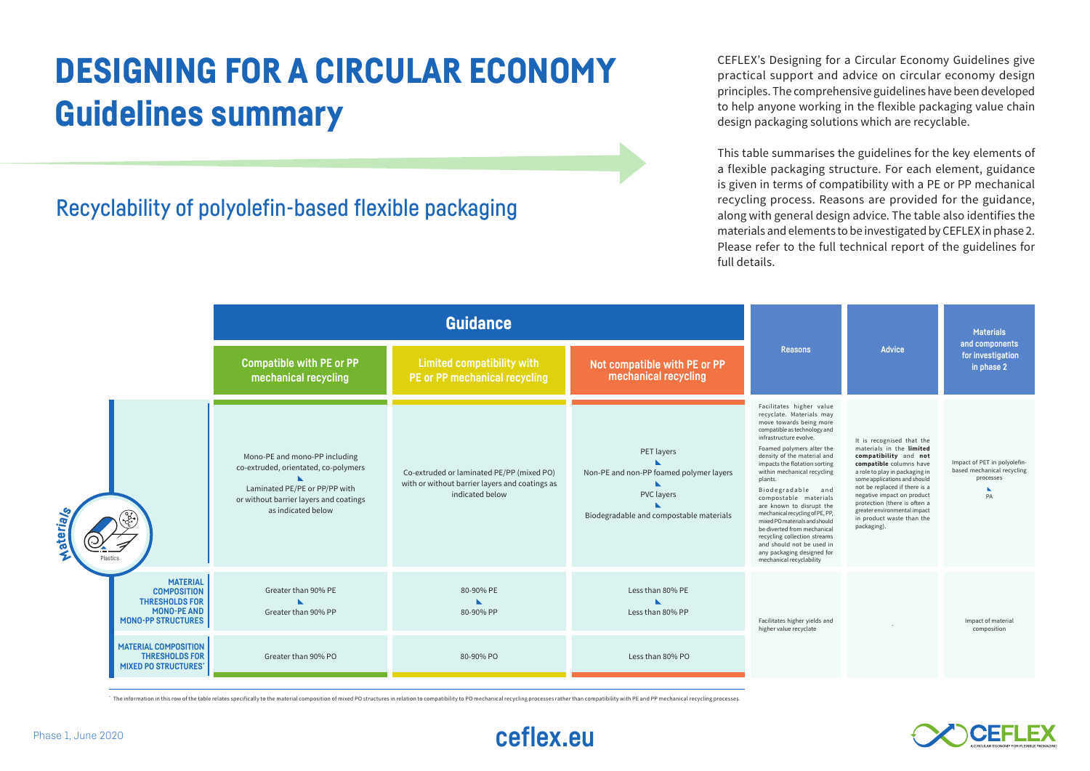## DESIGNING FOR A CIRCULAR ECONOMY Guidelines summary

Recyclability of polyolefin-based flexible packaging

CEFLEX's Designing for a Circular Economy Guidelines give practical support and advice on circular economy design principles. The comprehensive guidelines have been developed to help anyone working in the flexible packaging value chain design packaging solutions which are recyclable.

This table summarises the guidelines for the key elements of a flexible packaging structure. For each element, guidance is given in terms of compatibility with a PE or PP mechanical recycling process. Reasons are provided for the guidance, along with general design advice. The table also identifies the materials and elements to be investigated by CEFLEX in phase 2. Please refer to the full technical report of the guidelines for full details.

|                          |                                                                                                                   | <b>Guidance</b>                                                                                                                                                        |                                                                                                                |                                                                                                                |                                                                                                                                                                                                                                                                                                                                                                                                                                                                                                                                                                                      |                                                                                                                                                                                                                                                                                                                                                        | <b>Materials</b>                                                              |
|--------------------------|-------------------------------------------------------------------------------------------------------------------|------------------------------------------------------------------------------------------------------------------------------------------------------------------------|----------------------------------------------------------------------------------------------------------------|----------------------------------------------------------------------------------------------------------------|--------------------------------------------------------------------------------------------------------------------------------------------------------------------------------------------------------------------------------------------------------------------------------------------------------------------------------------------------------------------------------------------------------------------------------------------------------------------------------------------------------------------------------------------------------------------------------------|--------------------------------------------------------------------------------------------------------------------------------------------------------------------------------------------------------------------------------------------------------------------------------------------------------------------------------------------------------|-------------------------------------------------------------------------------|
|                          |                                                                                                                   | <b>Compatible with PE or PP</b><br>mechanical recycling                                                                                                                | <b>Limited compatibility with</b><br>PE or PP mechanical recycling                                             | Not compatible with PE or PP<br>mechanical recycling                                                           | <b>Reasons</b>                                                                                                                                                                                                                                                                                                                                                                                                                                                                                                                                                                       | <b>Advice</b>                                                                                                                                                                                                                                                                                                                                          | and components<br>for investigation<br>in phase 2                             |
| terray <sub>s</sub><br>Ž |                                                                                                                   | Mono-PE and mono-PP including<br>co-extruded, orientated, co-polymers<br>Laminated PE/PE or PP/PP with<br>or without barrier layers and coatings<br>as indicated below | Co-extruded or laminated PE/PP (mixed PO)<br>with or without barrier layers and coatings as<br>indicated below | PET layers<br>Non-PE and non-PP foamed polymer layers<br>PVC layers<br>Biodegradable and compostable materials | Facilitates higher value<br>recyclate. Materials may<br>move towards being more<br>compatible as technology and<br>infrastructure evolve.<br>Foamed polymers alter the<br>density of the material and<br>impacts the flotation sorting<br>within mechanical recycling<br>plants.<br>Biodegradable and<br>compostable materials<br>are known to disrupt the<br>mechanical recycling of PE, PP,<br>mixed PO materials and should<br>be diverted from mechanical<br>recycling collection streams<br>and should not be used in<br>any packaging designed for<br>mechanical recyclability | It is recognised that the<br>materials in the limited<br>compatibility and not<br>compatible columns have<br>a role to play in packaging in<br>some applications and should<br>not be replaced if there is a<br>negative impact on product<br>protection (there is often a<br>greater environmental impact<br>in product waste than the<br>packaging). | Impact of PET in polyolefin-<br>based mechanical recycling<br>processes<br>PA |
|                          | <b>MATERIAL</b><br><b>COMPOSITION</b><br><b>THRESHOLDS FOR</b><br><b>MONO-PE AND</b><br><b>MONO-PP STRUCTURES</b> | Greater than 90% PE<br>Greater than 90% PP                                                                                                                             | 80-90% PE<br>80-90% PP                                                                                         | Less than 80% PE<br>Less than 80% PP                                                                           | Facilitates higher yields and<br>higher value recyclate                                                                                                                                                                                                                                                                                                                                                                                                                                                                                                                              |                                                                                                                                                                                                                                                                                                                                                        | Impact of material<br>composition                                             |
|                          | <b>MATERIAL COMPOSITION</b><br><b>THRESHOLDS FOR</b><br><b>MIXED PO STRUCTURES'</b>                               | Greater than 90% PO                                                                                                                                                    | 80-90% PO                                                                                                      | Less than 80% PO                                                                                               |                                                                                                                                                                                                                                                                                                                                                                                                                                                                                                                                                                                      |                                                                                                                                                                                                                                                                                                                                                        |                                                                               |

The information in this row of the table relates specifically to the material composition of mixed PO structures in relation to compatibility to PO mechanical recycling processes rather than compatibility with PE and PP me



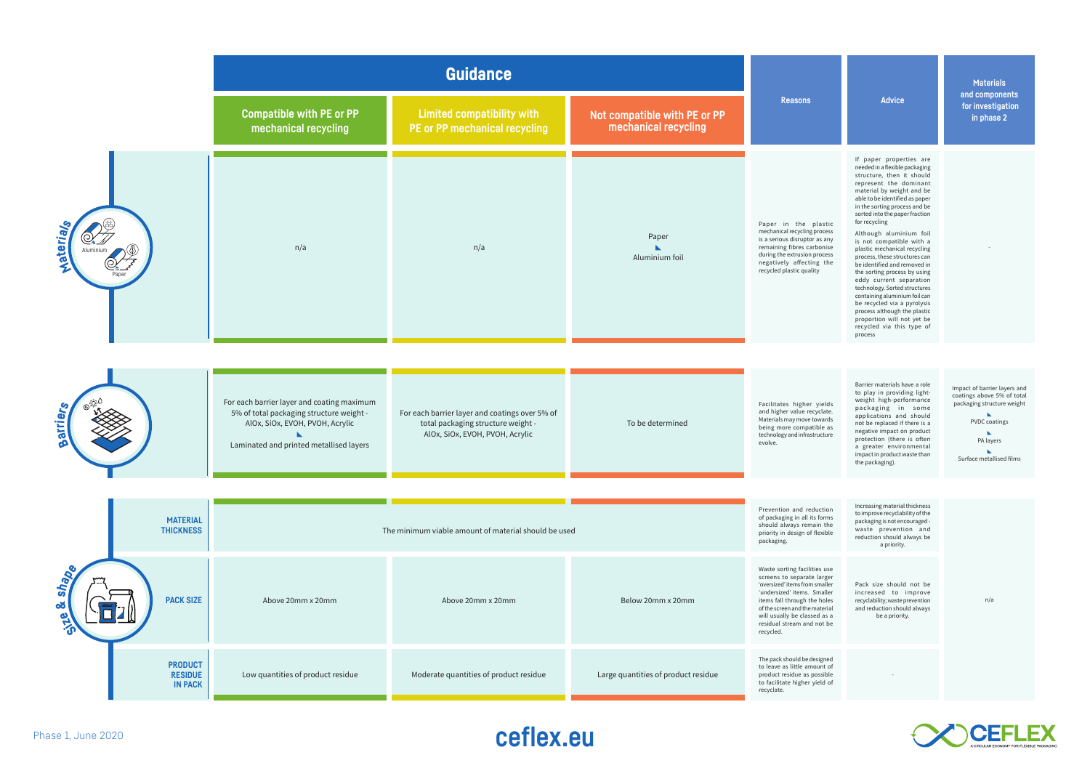|                    |  |                                                    | <b>Guidance</b>                                                                                                                                                      |                                                                                                                         |                                                      |                                                                                                                                                                                                                                                                          |                                                                                                                                                                                                                                                                                                                                                                                                                                                                                                                                                                                                                                                                                               | <b>Materials</b>                                                                                                                                          |
|--------------------|--|----------------------------------------------------|----------------------------------------------------------------------------------------------------------------------------------------------------------------------|-------------------------------------------------------------------------------------------------------------------------|------------------------------------------------------|--------------------------------------------------------------------------------------------------------------------------------------------------------------------------------------------------------------------------------------------------------------------------|-----------------------------------------------------------------------------------------------------------------------------------------------------------------------------------------------------------------------------------------------------------------------------------------------------------------------------------------------------------------------------------------------------------------------------------------------------------------------------------------------------------------------------------------------------------------------------------------------------------------------------------------------------------------------------------------------|-----------------------------------------------------------------------------------------------------------------------------------------------------------|
|                    |  |                                                    | <b>Compatible with PE or PP</b><br>mechanical recycling                                                                                                              | <b>Limited compatibility with</b><br>PE or PP mechanical recycling                                                      | Not compatible with PE or PP<br>mechanical recycling | <b>Reasons</b>                                                                                                                                                                                                                                                           | <b>Advice</b>                                                                                                                                                                                                                                                                                                                                                                                                                                                                                                                                                                                                                                                                                 | and components<br>for investigation<br>in phase 2                                                                                                         |
| <b>Aaterial</b>    |  |                                                    | n/a                                                                                                                                                                  | n/a                                                                                                                     | Paper<br>Aluminium foil                              | Paper in the plastic<br>mechanical recycling process<br>is a serious disruptor as any<br>remaining fibres carbonise<br>during the extrusion process<br>negatively affecting the<br>recycled plastic quality                                                              | If paper properties are<br>needed in a flexible packaging<br>structure, then it should<br>represent the dominant<br>material by weight and be<br>able to be identified as paper<br>in the sorting process and be<br>sorted into the paper fraction<br>for recycling<br>Although aluminium foil<br>is not compatible with a<br>plastic mechanical recycling<br>process, these structures can<br>be identified and removed in<br>the sorting process by using<br>eddy current separation<br>technology. Sorted structures<br>containing aluminium foil can<br>be recycled via a pyrolysis<br>process although the plastic<br>proportion will not yet be<br>recycled via this type of<br>process |                                                                                                                                                           |
|                    |  |                                                    |                                                                                                                                                                      |                                                                                                                         |                                                      |                                                                                                                                                                                                                                                                          |                                                                                                                                                                                                                                                                                                                                                                                                                                                                                                                                                                                                                                                                                               |                                                                                                                                                           |
| sarriez            |  |                                                    | For each barrier layer and coating maximum<br>5% of total packaging structure weight -<br>AlOx, SiOx, EVOH, PVOH, Acrylic<br>Laminated and printed metallised layers | For each barrier layer and coatings over 5% of<br>total packaging structure weight -<br>AlOx, SiOx, EVOH, PVOH, Acrylic | To be determined                                     | Facilitates higher yields<br>and higher value recyclate.<br>Materials may move towards<br>being more compatible as<br>technology and infrastructure<br>evolve.                                                                                                           | Barrier materials have a role<br>to play in providing light-<br>weight high-performance<br>packaging in some<br>applications and should<br>not be replaced if there is a<br>negative impact on product<br>protection (there is often<br>a greater environmental<br>impact in product waste than<br>the packaging).                                                                                                                                                                                                                                                                                                                                                                            | Impact of barrier layers and<br>coatings above 5% of total<br>packaging structure weight<br><b>PVDC</b> coatings<br>PA layers<br>Surface metallised films |
|                    |  |                                                    |                                                                                                                                                                      |                                                                                                                         |                                                      |                                                                                                                                                                                                                                                                          |                                                                                                                                                                                                                                                                                                                                                                                                                                                                                                                                                                                                                                                                                               |                                                                                                                                                           |
|                    |  | <b>MATERIAL</b><br><b>THICKNESS</b>                | The minimum viable amount of material should be used                                                                                                                 |                                                                                                                         |                                                      | Prevention and reduction<br>of packaging in all its forms<br>should always remain the<br>priority in design of flexible<br>packaging.                                                                                                                                    | Increasing material thickness<br>to improve recyclability of the<br>packaging is not encouraged -<br>waste prevention and<br>reduction should always be<br>a priority.                                                                                                                                                                                                                                                                                                                                                                                                                                                                                                                        |                                                                                                                                                           |
| shapp<br>œ<br>aria |  | <b>PACK SIZE</b>                                   | Above 20mm x 20mm                                                                                                                                                    | Above 20mm x 20mm                                                                                                       | Below 20mm x 20mm                                    | Waste sorting facilities use<br>screens to separate larger<br>'oversized' items from smaller<br>'undersized' items. Smaller<br>items fall through the holes<br>of the screen and the material<br>will usually be classed as a<br>residual stream and not be<br>recycled. | Pack size should not be<br>increased to improve<br>recyclability; waste prevention<br>and reduction should always<br>be a priority.                                                                                                                                                                                                                                                                                                                                                                                                                                                                                                                                                           | n/a                                                                                                                                                       |
|                    |  | <b>PRODUCT</b><br><b>RESIDUE</b><br><b>IN PACK</b> | Low quantities of product residue                                                                                                                                    | Moderate quantities of product residue                                                                                  | Large quantities of product residue                  | The pack should be designed<br>to leave as little amount of<br>product residue as possible<br>to facilitate higher yield of<br>recyclate.                                                                                                                                |                                                                                                                                                                                                                                                                                                                                                                                                                                                                                                                                                                                                                                                                                               |                                                                                                                                                           |

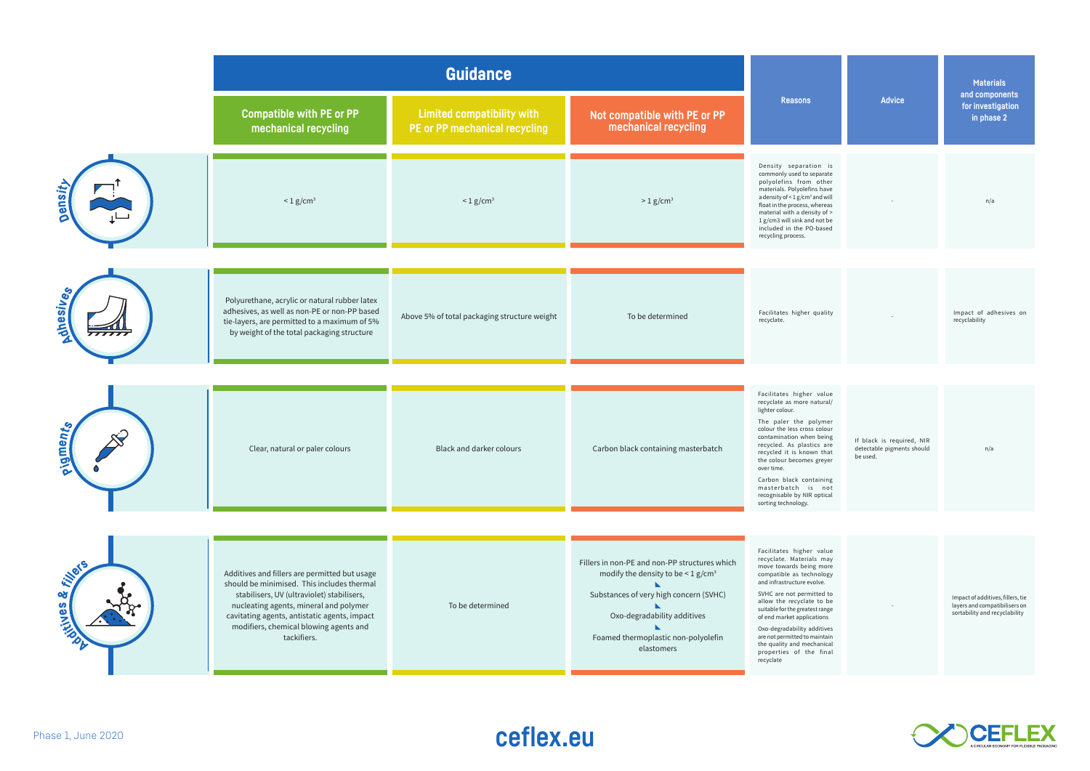|                                  | <b>Guidance</b>                                                                                                                                                                                                                                                                              |                                                                    |                                                                                                                                                                                                                                    |                                                                                                                                                                                                                                                                                                                                                                                                            |                                                                     | <b>Materials</b>                                                                                    |
|----------------------------------|----------------------------------------------------------------------------------------------------------------------------------------------------------------------------------------------------------------------------------------------------------------------------------------------|--------------------------------------------------------------------|------------------------------------------------------------------------------------------------------------------------------------------------------------------------------------------------------------------------------------|------------------------------------------------------------------------------------------------------------------------------------------------------------------------------------------------------------------------------------------------------------------------------------------------------------------------------------------------------------------------------------------------------------|---------------------------------------------------------------------|-----------------------------------------------------------------------------------------------------|
|                                  | <b>Compatible with PE or PP</b><br>mechanical recycling                                                                                                                                                                                                                                      | <b>Limited compatibility with</b><br>PE or PP mechanical recycling | Not compatible with PE or PP<br>mechanical recycling                                                                                                                                                                               | <b>Reasons</b>                                                                                                                                                                                                                                                                                                                                                                                             | <b>Advice</b>                                                       | and components<br>for investigation<br>in phase 2                                                   |
| ensit                            | $< 1$ g/cm <sup>3</sup>                                                                                                                                                                                                                                                                      | $< 1$ g/cm <sup>3</sup>                                            | $> 1$ g/cm <sup>3</sup>                                                                                                                                                                                                            | Density separation is<br>commonly used to separate<br>polyolefins from other<br>materials. Polyolefins have<br>a density of < 1 g/cm <sup>3</sup> and will<br>float in the process, whereas<br>material with a density of ><br>1 g/cm3 will sink and not be<br>included in the PO-based<br>recycling process.                                                                                              |                                                                     | n/a                                                                                                 |
| <b>Anesive</b>                   | Polyurethane, acrylic or natural rubber latex<br>adhesives, as well as non-PE or non-PP based<br>tie-layers, are permitted to a maximum of 5%<br>by weight of the total packaging structure                                                                                                  | Above 5% of total packaging structure weight                       | To be determined                                                                                                                                                                                                                   | Facilitates higher quality<br>recyclate.                                                                                                                                                                                                                                                                                                                                                                   |                                                                     | Impact of adhesives on<br>recyclability                                                             |
|                                  | Clear, natural or paler colours                                                                                                                                                                                                                                                              | Black and darker colours                                           | Carbon black containing masterbatch                                                                                                                                                                                                | Facilitates higher value<br>recyclate as more natural/<br>lighter colour.                                                                                                                                                                                                                                                                                                                                  |                                                                     |                                                                                                     |
| pigment <sub>s</sub>             |                                                                                                                                                                                                                                                                                              |                                                                    |                                                                                                                                                                                                                                    | The paler the polymer<br>colour the less cross colour<br>contamination when being<br>recycled. As plastics are<br>recycled it is known that<br>the colour becomes greyer<br>over time.<br>Carbon black containing<br>masterbatch is not<br>recognisable by NIR optical                                                                                                                                     | If black is required, NIR<br>detectable pigments should<br>be used. | n/a                                                                                                 |
|                                  |                                                                                                                                                                                                                                                                                              |                                                                    |                                                                                                                                                                                                                                    | sorting technology.                                                                                                                                                                                                                                                                                                                                                                                        |                                                                     |                                                                                                     |
| <b>Filler</b><br>٥ð<br>PISSIVIAS | Additives and fillers are permitted but usage<br>should be minimised. This includes thermal<br>stabilisers, UV (ultraviolet) stabilisers,<br>nucleating agents, mineral and polymer<br>cavitating agents, antistatic agents, impact<br>modifiers, chemical blowing agents and<br>tackifiers. | To be determined                                                   | Fillers in non-PE and non-PP structures which<br>modify the density to be $\leq$ 1 g/cm <sup>3</sup><br>Substances of very high concern (SVHC)<br>Oxo-degradability additives<br>Foamed thermoplastic non-polyolefin<br>elastomers | Facilitates higher value<br>recyclate. Materials may<br>move towards being more<br>compatible as technology<br>and infrastructure evolve.<br>SVHC are not permitted to<br>allow the recyclate to be<br>suitable for the greatest range<br>of end market applications<br>Oxo-degradability additives<br>are not permitted to maintain<br>the quality and mechanical<br>properties of the final<br>recyclate |                                                                     | Impact of additives, fillers, tie<br>layers and compatibilisers on<br>sortability and recyclability |



## Phase 1, June 2020 **ceflex.eu**